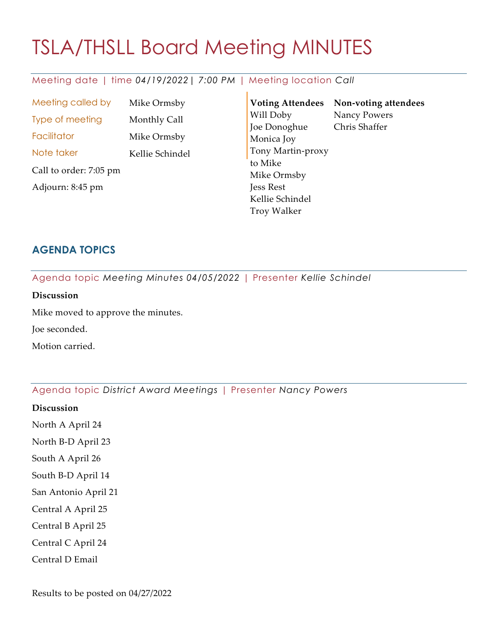# TSLA/THSLL Board Meeting MINUTES

# Meeting date | time *04/19/2022| 7:00 PM* | Meeting location *Call*

Meeting called by Mike Ormsby Type of meeting Monthly Call Facilitator Mike Ormsby Note taker Kellie Schindel Call to order: 7:05 pm Adjourn: 8:45 pm

**Voting Attendees Non-voting attendees** Will Doby Joe Donoghue Monica Joy Tony Martin-proxy to Mike Mike Ormsby Jess Rest Kellie Schindel Troy Walker Nancy Powers Chris Shaffer

# **AGENDA TOPICS**

Agenda topic *Meeting Minutes 04/05/2022* | Presenter *Kellie Schindel*

# **Discussion**

Mike moved to approve the minutes.

Joe seconded.

Motion carried.

# Agenda topic *District Award Meetings* | Presenter *Nancy Powers*

- **Discussion**
- North A April 24
- North B-D April 23
- South A April 26
- South B-D April 14
- San Antonio April 21
- Central A April 25
- Central B April 25
- Central C April 24
- Central D Email

Results to be posted on 04/27/2022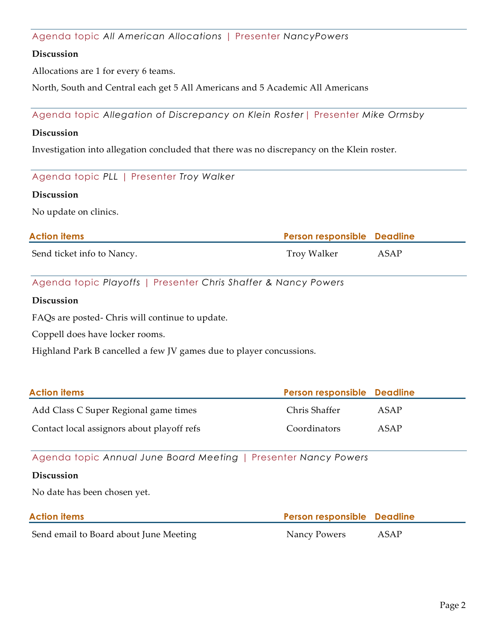Agenda topic *All American Allocations* | Presenter *NancyPowers*

# **Discussion**

Allocations are 1 for every 6 teams.

North, South and Central each get 5 All Americans and 5 Academic All Americans

Agenda topic *Allegation of Discrepancy on Klein Roster*| Presenter *Mike Ormsby*

#### **Discussion**

Investigation into allegation concluded that there was no discrepancy on the Klein roster.

Agenda topic *PLL* | Presenter *Troy Walker*

#### **Discussion**

No update on clinics.

| <b>Action items</b>        | <b>Person responsible Deadline</b> |      |
|----------------------------|------------------------------------|------|
| Send ticket info to Nancy. | Troy Walker                        | ASAP |

Agenda topic *Playoffs* | Presenter *Chris Shaffer & Nancy Powers*

#### **Discussion**

FAQs are posted- Chris will continue to update.

Coppell does have locker rooms.

Highland Park B cancelled a few JV games due to player concussions.

| <b>Action items</b>                        | Person responsible Deadline |      |
|--------------------------------------------|-----------------------------|------|
| Add Class C Super Regional game times      | Chris Shaffer               | ASAP |
| Contact local assignors about playoff refs | Coordinators                | ASAP |

Agenda topic *Annual June Board Meeting* | Presenter *Nancy Powers*

#### **Discussion**

No date has been chosen yet.

| <b>Action items</b>                    | <b>Person responsible Deadline</b> |      |
|----------------------------------------|------------------------------------|------|
| Send email to Board about June Meeting | Nancy Powers                       | ASAP |